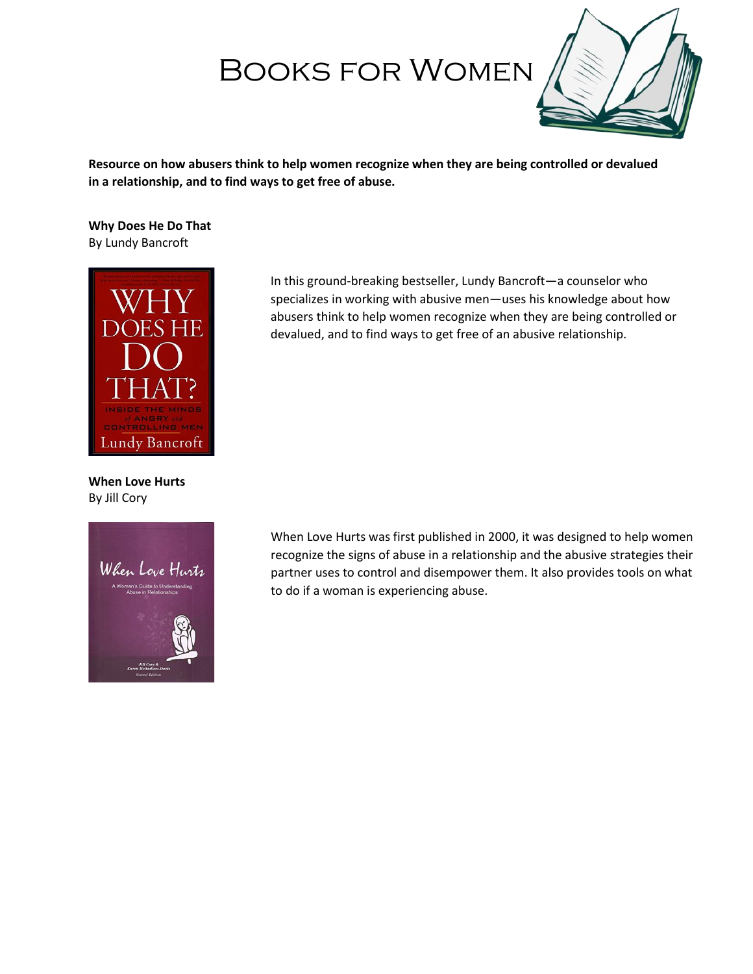# Books for Women



**Resource on how abusers think to help women recognize when they are being controlled or devalued in a relationship, and to find ways to get free of abuse.**

**Why Does He Do That** By Lundy Bancroft



**When Love Hurts** By Jill Cory



In this ground-breaking bestseller, Lundy Bancroft—a counselor who specializes in working with abusive men—uses his knowledge about how abusers think to help women recognize when they are being controlled or devalued, and to find ways to get free of an abusive relationship.

When Love Hurts was first published in 2000, it was designed to help women recognize the signs of abuse in a relationship and the abusive strategies their partner uses to control and disempower them. It also provides tools on what to do if a woman is experiencing abuse.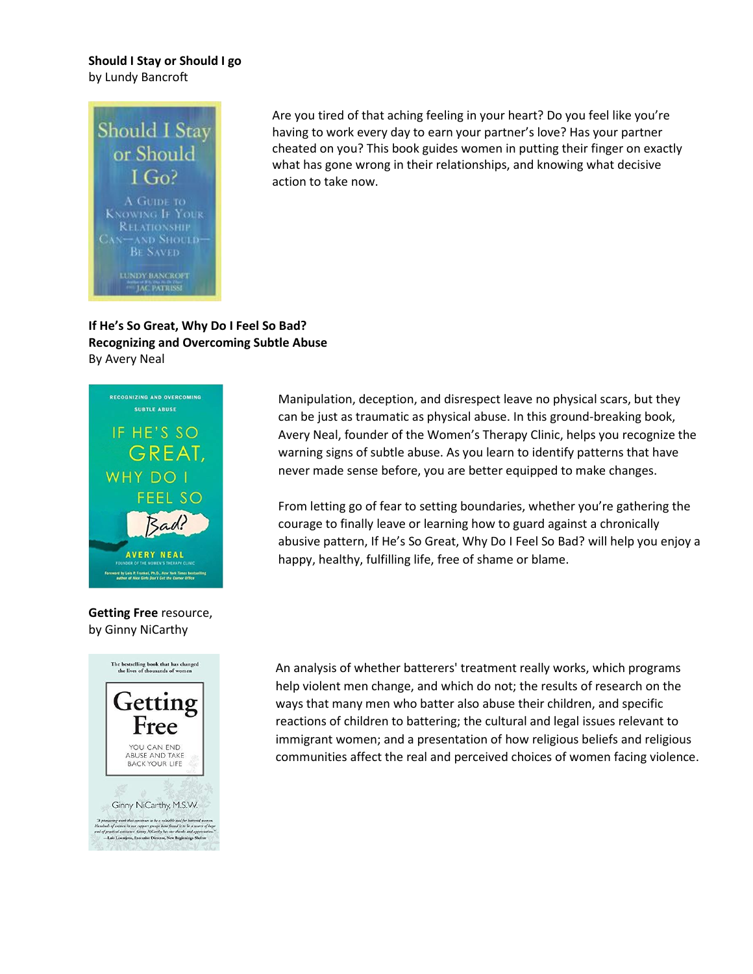#### **Should I Stay or Should I go**  by Lundy Bancroft



Are you tired of that aching feeling in your heart? Do you feel like you're having to work every day to earn your partner's love? Has your partner cheated on you? This book guides women in putting their finger on exactly what has gone wrong in their relationships, and knowing what decisive action to take now.

## **If He's So Great, Why Do I Feel So Bad? Recognizing and Overcoming Subtle Abuse** By Avery Neal



## **Getting Free** resource, by Ginny NiCarthy



Manipulation, deception, and disrespect leave no physical scars, but they can be just as traumatic as physical abuse. In this ground-breaking book, Avery Neal, founder of the Women's Therapy Clinic, helps you recognize the warning signs of subtle abuse. As you learn to identify patterns that have never made sense before, you are better equipped to make changes.

From letting go of fear to setting boundaries, whether you're gathering the courage to finally leave or learning how to guard against a chronically abusive pattern, If He's So Great, Why Do I Feel So Bad? will help you enjoy a happy, healthy, fulfilling life, free of shame or blame.

An analysis of whether batterers' treatment really works, which programs help violent men change, and which do not; the results of research on the ways that many men who batter also abuse their children, and specific reactions of children to battering; the cultural and legal issues relevant to immigrant women; and a presentation of how religious beliefs and religious communities affect the real and perceived choices of women facing violence.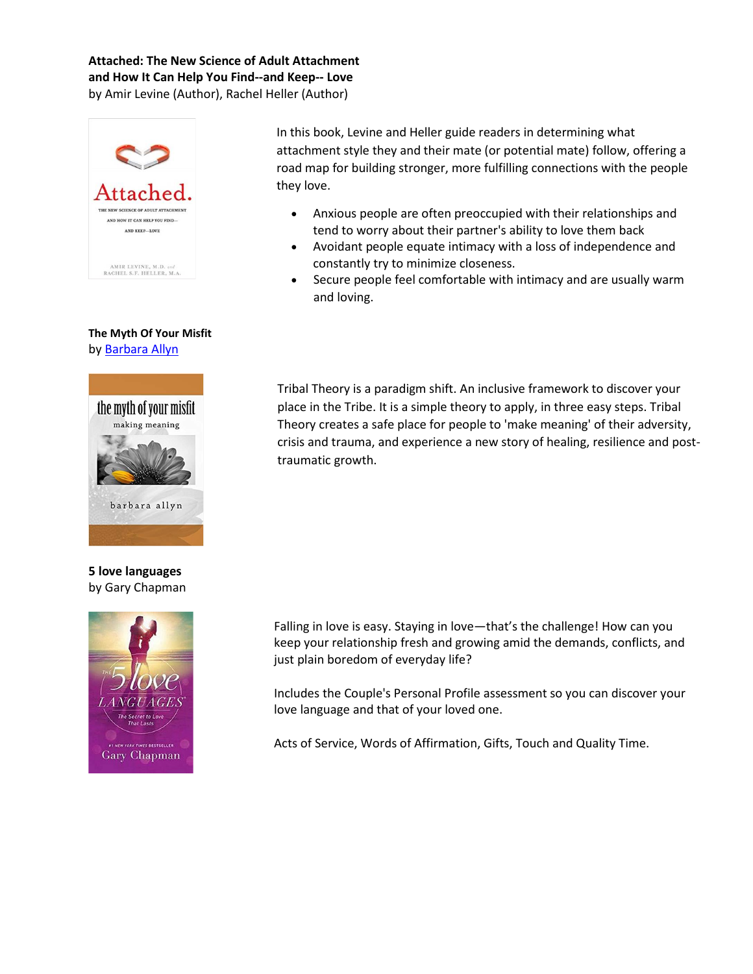## **Attached: The New Science of Adult Attachment and How It Can Help You Find--and Keep-- Love** by [Amir Levine](https://www.amazon.ca/s/ref=dp_byline_sr_book_1?ie=UTF8&field-author=Amir+Levine&search-alias=books-ca) (Author), [Rachel Heller](https://www.amazon.ca/s/ref=dp_byline_sr_book_2?ie=UTF8&field-author=Rachel+Heller&search-alias=books-ca) (Author)



### **The Myth Of Your Misfit** by [Barbara Allyn](https://www.amazon.ca/s/ref=dp_byline_sr_book_1?ie=UTF8&field-author=Barbara+Allyn&search-alias=books-ca)



### **5 love languages**  by Gary Chapman



In this book, Levine and Heller guide readers in determining what attachment style they and their mate (or potential mate) follow, offering a road map for building stronger, more fulfilling connections with the people they love.

- Anxious people are often preoccupied with their relationships and tend to worry about their partner's ability to love them back
- Avoidant people equate intimacy with a loss of independence and constantly try to minimize closeness.
- Secure people feel comfortable with intimacy and are usually warm and loving.

Tribal Theory is a paradigm shift. An inclusive framework to discover your place in the Tribe. It is a simple theory to apply, in three easy steps. Tribal Theory creates a safe place for people to 'make meaning' of their adversity, crisis and trauma, and experience a new story of healing, resilience and posttraumatic growth.

Falling in love is easy. Staying in love—that's the challenge! How can you keep your relationship fresh and growing amid the demands, conflicts, and just plain boredom of everyday life?

Includes the Couple's Personal Profile assessment so you can discover your love language and that of your loved one.

Acts of Service, Words of Affirmation, Gifts, Touch and Quality Time.